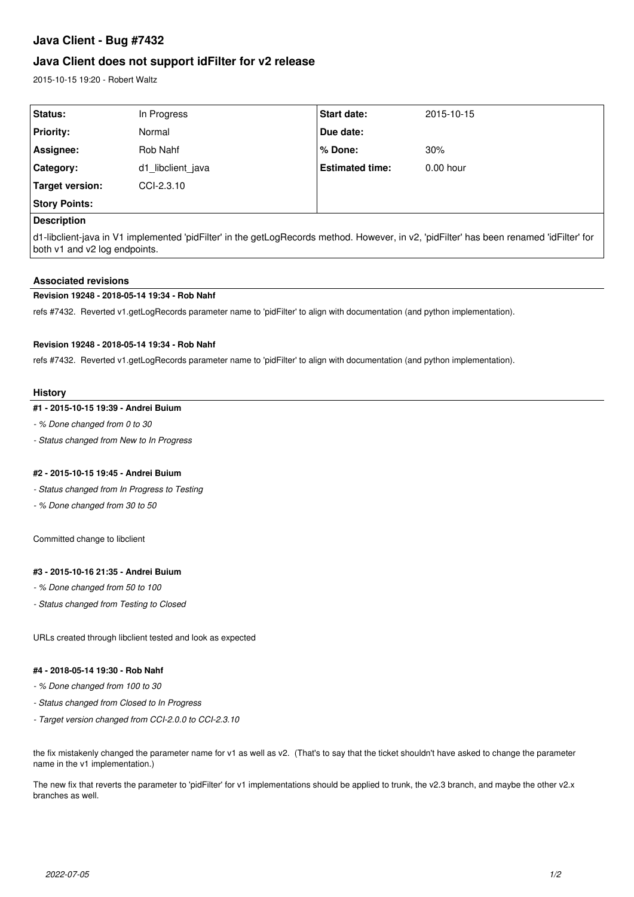# **Java Client - Bug #7432**

## **Java Client does not support idFilter for v2 release**

2015-10-15 19:20 - Robert Waltz

| Status:              | In Progress       | <b>Start date:</b>     | 2015-10-15  |  |
|----------------------|-------------------|------------------------|-------------|--|
| <b>Priority:</b>     | Normal            | Due date:              |             |  |
| Assignee:            | Rob Nahf          | % Done:                | 30%         |  |
| Category:            | d1 libclient java | <b>Estimated time:</b> | $0.00$ hour |  |
| Target version:      | CCI-2.3.10        |                        |             |  |
| <b>Story Points:</b> |                   |                        |             |  |
| <b>Description</b>   |                   |                        |             |  |

d1-libclient-java in V1 implemented 'pidFilter' in the getLogRecords method. However, in v2, 'pidFilter' has been renamed 'idFilter' for both v1 and v2 log endpoints.

## **Associated revisions**

#### **Revision 19248 - 2018-05-14 19:34 - Rob Nahf**

refs #7432. Reverted v1.getLogRecords parameter name to 'pidFilter' to align with documentation (and python implementation).

## **Revision 19248 - 2018-05-14 19:34 - Rob Nahf**

refs #7432. Reverted v1.getLogRecords parameter name to 'pidFilter' to align with documentation (and python implementation).

## **History**

#### **#1 - 2015-10-15 19:39 - Andrei Buium**

- *% Done changed from 0 to 30*
- *Status changed from New to In Progress*

#### **#2 - 2015-10-15 19:45 - Andrei Buium**

- *Status changed from In Progress to Testing*
- *% Done changed from 30 to 50*

Committed change to libclient

## **#3 - 2015-10-16 21:35 - Andrei Buium**

- *% Done changed from 50 to 100*
- *Status changed from Testing to Closed*

URLs created through libclient tested and look as expected

## **#4 - 2018-05-14 19:30 - Rob Nahf**

- *% Done changed from 100 to 30*
- *Status changed from Closed to In Progress*
- *Target version changed from CCI-2.0.0 to CCI-2.3.10*

the fix mistakenly changed the parameter name for v1 as well as v2. (That's to say that the ticket shouldn't have asked to change the parameter name in the v1 implementation.)

The new fix that reverts the parameter to 'pidFilter' for v1 implementations should be applied to trunk, the v2.3 branch, and maybe the other v2.x branches as well.